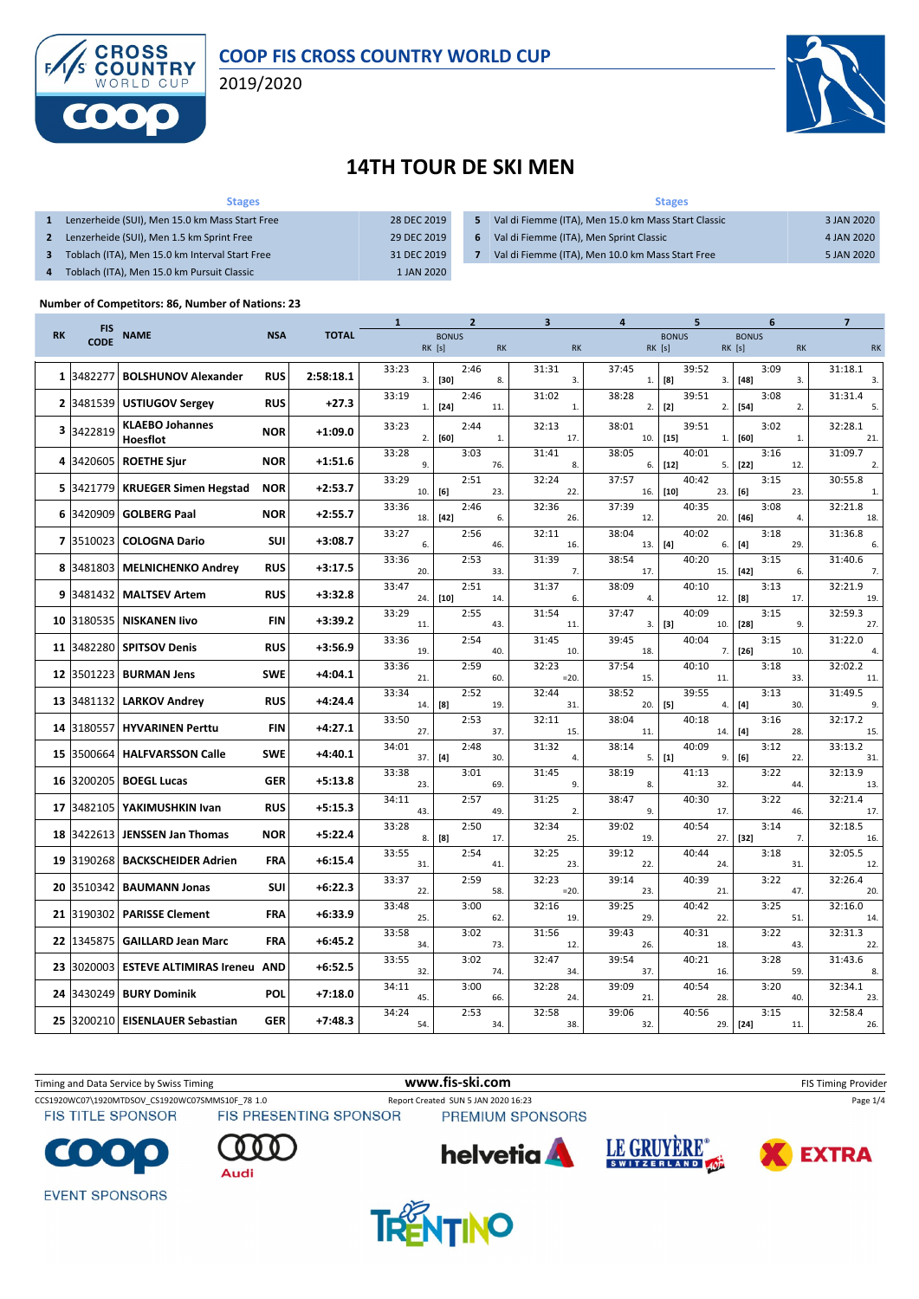

#### **COOP FIS CROSS COUNTRY WORLD CUP**

2019/2020



## **14TH TOUR DE SKI MEN**

| <b>Stages</b>                                  |             | <b>Stages</b> |                                                     |            |  |  |  |  |
|------------------------------------------------|-------------|---------------|-----------------------------------------------------|------------|--|--|--|--|
| Lenzerheide (SUI), Men 15.0 km Mass Start Free | 28 DEC 2019 | 5.            | Val di Fiemme (ITA), Men 15.0 km Mass Start Classic | 3 JAN 2020 |  |  |  |  |
| Lenzerheide (SUI), Men 1.5 km Sprint Free      | 29 DEC 2019 | 6             | Val di Fiemme (ITA), Men Sprint Classic             | 4 JAN 2020 |  |  |  |  |
| Toblach (ITA), Men 15.0 km Interval Start Free | 31 DEC 2019 |               | Val di Fiemme (ITA), Men 10.0 km Mass Start Free    | 5 JAN 2020 |  |  |  |  |
| Toblach (ITA), Men 15.0 km Pursuit Classic     | 1 JAN 2020  |               |                                                     |            |  |  |  |  |

#### **Number of Competitors: 86, Number of Nations: 23**

| <b>FIS</b><br><b>NAME</b><br><b>RK</b><br><b>NSA</b><br><b>TOTAL</b><br><b>BONUS</b><br><b>BONUS</b><br><b>BONUS</b><br><b>CODE</b><br>RK [s]<br><b>RK</b><br><b>RK</b><br>$RK$ [s]<br>RK [s]<br><b>RK</b><br><b>RK</b><br>33:23<br>2:46<br>31:31<br>37:45<br>39:52<br>3:09<br>31:18.1<br><b>BOLSHUNOV Alexander</b><br>3482277<br><b>RUS</b><br>2:58:18.1<br>$\mathbf{1}$<br>3.<br>$[30]$<br>8.<br>3.<br>[8]<br>$[48]$<br>3.<br>1.<br>3.<br>3.<br>33:19<br>2:46<br>31:02<br>39:51<br>3:08<br>31:31.4<br>38:28<br><b>USTIUGOV Sergey</b><br><b>RUS</b><br>$\mathbf{2}$<br>3481539<br>$+27.3$<br>$[2]$<br>$\mathbf{1}$<br>$[24]$<br>2.<br>$[54]$<br>2.<br>11.<br>1.<br>2.<br>5.<br><b>KLAEBO Johannes</b><br>33:23<br>2:44<br>32:13<br>38:01<br>39:51<br>3:02<br>32:28.1<br>3<br>3422819<br><b>NOR</b><br>$+1:09.0$<br>$[15]$<br>2.<br>$[60]$<br>17.<br>10.<br>[60]<br>Hoesflot<br>$\mathbf{1}$<br>$\mathbf{1}$<br>21.<br>1.<br>33:28<br>3:03<br>38:05<br>40:01<br>3:16<br>31:09.7<br>31:41<br>3420605<br><b>ROETHE Sjur</b><br><b>NOR</b><br>$+1:51.6$<br>4<br>9.<br>76.<br>8.<br>$[12]$<br>$[22]$<br>6.<br>5.<br>12.<br>2.<br>37:57<br>33:29<br>2:51<br>32:24<br>40:42<br>3:15<br>30:55.8<br>$+2:53.7$<br>3421779<br><b>KRUEGER Simen Hegstad</b><br><b>NOR</b><br>5.<br>$[10]$<br>10.<br>[6]<br>23.<br>22.<br>[6]<br>16.<br>23.<br>23.<br>$\mathbf{1}$<br>32:36<br>37:39<br>40:35<br>32:21.8<br>33:36<br>2:46<br>3:08<br>3420909<br><b>GOLBERG Paal</b><br><b>NOR</b><br>$+2:55.7$<br>6<br>$[42]$<br>6.<br>$[46]$<br>18.<br>26.<br>12.<br>20.<br>18.<br>4.<br>38:04<br>40:02<br>$31:36.\overline{8}$<br>33:27<br>2:56<br>32:11<br>3:18<br><b>COLOGNA Dario</b><br>$+3:08.7$<br>$\overline{ }$<br>3510023<br><b>SUI</b><br>$[4]$<br>6.<br>13.<br>$[4]$<br>29.<br>46.<br>16.<br>6.<br>6.<br>33:36<br>2:53<br>31:39<br>38:54<br>40:20<br>3:15<br>31:40.6<br>3481803<br><b>MELNICHENKO Andrey</b><br><b>RUS</b><br>8<br>$+3:17.5$<br>20.<br>33.<br>7.<br>17.<br>15.<br>$[42]$<br>6.<br>7.<br>2:51<br>3:13<br>32:21.9<br>33:47<br>31:37<br>38:09<br>40:10<br>3481432<br><b>MALTSEV Artem</b><br><b>RUS</b><br>$+3:32.8$<br>9<br>$[10]$<br>24.<br>14.<br>6.<br>4.<br>12.<br>[8]<br>17.<br>19.<br>33:29<br>2:55<br>31:54<br>37:47<br>40:09<br>3:15<br>32:59.3<br>$+3:39.2$<br>3180535<br><b>NISKANEN livo</b><br><b>FIN</b><br>10<br>$[3]$<br>11.<br>$[28]$<br>43.<br>11.<br>3.1<br>10.<br>9.<br>27.<br>33:36<br>2:54<br>31:45<br>39:45<br>40:04<br>3:15<br>31:22.0<br>3482280<br><b>SPITSOV Denis</b><br><b>RUS</b><br>$+3:56.9$<br>11<br>$[26]$<br>19<br>18.<br>40.<br>10.<br>7.<br>10.<br>$\overline{4}$<br>32:02.2<br>33:36<br>2:59<br>32:23<br>37:54<br>40:10<br>3:18<br>3501223<br><b>BURMAN Jens</b><br><b>SWE</b><br>$+4:04.1$<br>12<br>21.<br>60.<br>$= 20.$<br>15.<br>11.<br>33.<br>11.<br>2:52<br>31:49.5<br>33:34<br>32:44<br>38:52<br>39:55<br>3:13<br>3481132<br><b>LARKOV Andrey</b><br><b>RUS</b><br>$+4:24.4$<br>13<br>$[5]$<br>14.<br>[8]<br>19.<br>31.<br>20.<br>4.<br>$[4]$<br>30.<br>9.<br>33:50<br>2:53<br>32:11<br>38:04<br>40:18<br>3:16<br>32:17.2<br>$+4:27.1$<br>3180557<br><b>HYVARINEN Perttu</b><br><b>FIN</b><br>14<br>27.<br>37.<br>15.<br>11.<br>14.<br>$[4]$<br>28.<br>15.<br>34:01<br>3:12<br>2:48<br>31:32<br>38:14<br>40:09<br>33:13.2<br>3500664<br><b>HALFVARSSON Calle</b><br>$+4:40.1$<br><b>SWE</b><br>15<br>$[1]$<br>37.<br>$[4]$<br>5.<br>30.<br>4.<br>9.<br>[6]<br>22.<br>31.<br>38:19<br>41:13<br>3:22<br>32:13.9<br>33:38<br>3:01<br>31:45<br>3200205<br><b>BOEGL Lucas</b><br><b>GER</b><br>$+5:13.8$<br>16<br>9.<br>23.<br>69.<br>8.<br>32<br>44.<br>13.<br>2:57<br>32:21.4<br>34:11<br>31:25<br>38:47<br>40:30<br>3:22<br>YAKIMUSHKIN Ivan<br><b>RUS</b><br>$+5:15.3$<br>17<br>3482105<br>9.<br>43<br>49.<br>2.<br>17.<br>46.<br>17.<br>33:28<br>2:50<br>32:34<br>39:02<br>40:54<br>3:14<br>32:18.5<br>3422613<br><b>JENSSEN Jan Thomas</b><br><b>NOR</b><br>$+5:22.4$<br>18<br>[8]<br>8.<br>17.<br>25.<br>27.<br>$[32]$<br>7.<br>19.<br>16.<br>33:55<br>2:54<br>32:25<br>39:12<br>40:44<br>3:18<br>32:05.5<br>$+6:15.4$<br>19<br>3190268<br><b>BACKSCHEIDER Adrien</b><br>FRA<br>31.<br>41.<br>23.<br>22.<br>24.<br>31.<br>12.<br>33:37<br>2:59<br>32:23<br>39:14<br>40:39<br>3:22<br>32:26.4<br>3510342<br><b>BAUMANN Jonas</b><br><b>SUI</b><br>+6:22.3<br>20<br>22.<br>23.<br>58.<br>$=20.$<br>21.<br>47.<br>20.<br>40:42<br>3:25<br>32:16.0<br>33:48<br>3:00<br>32:16<br>39:25<br><b>PARISSE Clement</b><br>3190302<br>$+6:33.9$<br>21<br>FRA<br>25.<br>62.<br>19.<br>29.<br>22.<br>51.<br>14.<br>3:02<br>31:56<br>40:31<br>3:22<br>32:31.3<br>33:58<br>39:43<br>1345875<br><b>GAILLARD Jean Marc</b><br>FRA<br>$+6:45.2$<br>22<br>18.<br>34.<br>73.<br>12.<br>26.<br>43.<br>22.<br>33:55<br>3:02<br>32:47<br>39:54<br>40:21<br>3:28<br>31:43.6<br>3020003<br><b>ESTEVE ALTIMIRAS Ireneu AND</b><br>$+6:52.5$<br>23<br>32.<br>74.<br>34.<br>37.<br>16.<br>59.<br>8.<br>32:28<br>40:54<br>34:11<br>3:00<br>39:09<br>3:20<br>32:34.1<br>3430249<br><b>BURY Dominik</b><br>POL<br>$+7:18.0$<br>24<br>45.<br>28.<br>66.<br>24.<br>21.<br>40.<br>23.<br>34:24<br>32:58<br>40:56<br>3:15<br>32:58.4<br>2:53<br>39:06<br>3200210<br><b>EISENLAUER Sebastian</b><br><b>GER</b><br>$+7:48.3$<br>25<br>$[24]$<br>54.<br>34.<br>38.<br>32.<br>29.<br>11.<br>26. |  |  | 1 | $\mathbf{2}$ | 3 | 4 | 5 | 6 | 7 |
|--------------------------------------------------------------------------------------------------------------------------------------------------------------------------------------------------------------------------------------------------------------------------------------------------------------------------------------------------------------------------------------------------------------------------------------------------------------------------------------------------------------------------------------------------------------------------------------------------------------------------------------------------------------------------------------------------------------------------------------------------------------------------------------------------------------------------------------------------------------------------------------------------------------------------------------------------------------------------------------------------------------------------------------------------------------------------------------------------------------------------------------------------------------------------------------------------------------------------------------------------------------------------------------------------------------------------------------------------------------------------------------------------------------------------------------------------------------------------------------------------------------------------------------------------------------------------------------------------------------------------------------------------------------------------------------------------------------------------------------------------------------------------------------------------------------------------------------------------------------------------------------------------------------------------------------------------------------------------------------------------------------------------------------------------------------------------------------------------------------------------------------------------------------------------------------------------------------------------------------------------------------------------------------------------------------------------------------------------------------------------------------------------------------------------------------------------------------------------------------------------------------------------------------------------------------------------------------------------------------------------------------------------------------------------------------------------------------------------------------------------------------------------------------------------------------------------------------------------------------------------------------------------------------------------------------------------------------------------------------------------------------------------------------------------------------------------------------------------------------------------------------------------------------------------------------------------------------------------------------------------------------------------------------------------------------------------------------------------------------------------------------------------------------------------------------------------------------------------------------------------------------------------------------------------------------------------------------------------------------------------------------------------------------------------------------------------------------------------------------------------------------------------------------------------------------------------------------------------------------------------------------------------------------------------------------------------------------------------------------------------------------------------------------------------------------------------------------------------------------------------------------------------------------------------------------------------------------------------------------------------------------------------------------------------------------------------------------------------------------------------------------------------------------------------------------------------------------------------------------------------------------------------------------------------------------------------------------------------------------------------------------------------------------------------------------------------------------------------------------------------------------------------------------------------------------------------------------------------------------------------------------------------------------------------------------------------------------------------------------------------------------------------------------------------------------------------------------------------------------------------------------------------------------------------------------------------------------------------------------------------------------------------------------------------------|--|--|---|--------------|---|---|---|---|---|
|                                                                                                                                                                                                                                                                                                                                                                                                                                                                                                                                                                                                                                                                                                                                                                                                                                                                                                                                                                                                                                                                                                                                                                                                                                                                                                                                                                                                                                                                                                                                                                                                                                                                                                                                                                                                                                                                                                                                                                                                                                                                                                                                                                                                                                                                                                                                                                                                                                                                                                                                                                                                                                                                                                                                                                                                                                                                                                                                                                                                                                                                                                                                                                                                                                                                                                                                                                                                                                                                                                                                                                                                                                                                                                                                                                                                                                                                                                                                                                                                                                                                                                                                                                                                                                                                                                                                                                                                                                                                                                                                                                                                                                                                                                                                                                                                                                                                                                                                                                                                                                                                                                                                                                                                                                                                                                        |  |  |   |              |   |   |   |   |   |
|                                                                                                                                                                                                                                                                                                                                                                                                                                                                                                                                                                                                                                                                                                                                                                                                                                                                                                                                                                                                                                                                                                                                                                                                                                                                                                                                                                                                                                                                                                                                                                                                                                                                                                                                                                                                                                                                                                                                                                                                                                                                                                                                                                                                                                                                                                                                                                                                                                                                                                                                                                                                                                                                                                                                                                                                                                                                                                                                                                                                                                                                                                                                                                                                                                                                                                                                                                                                                                                                                                                                                                                                                                                                                                                                                                                                                                                                                                                                                                                                                                                                                                                                                                                                                                                                                                                                                                                                                                                                                                                                                                                                                                                                                                                                                                                                                                                                                                                                                                                                                                                                                                                                                                                                                                                                                                        |  |  |   |              |   |   |   |   |   |
|                                                                                                                                                                                                                                                                                                                                                                                                                                                                                                                                                                                                                                                                                                                                                                                                                                                                                                                                                                                                                                                                                                                                                                                                                                                                                                                                                                                                                                                                                                                                                                                                                                                                                                                                                                                                                                                                                                                                                                                                                                                                                                                                                                                                                                                                                                                                                                                                                                                                                                                                                                                                                                                                                                                                                                                                                                                                                                                                                                                                                                                                                                                                                                                                                                                                                                                                                                                                                                                                                                                                                                                                                                                                                                                                                                                                                                                                                                                                                                                                                                                                                                                                                                                                                                                                                                                                                                                                                                                                                                                                                                                                                                                                                                                                                                                                                                                                                                                                                                                                                                                                                                                                                                                                                                                                                                        |  |  |   |              |   |   |   |   |   |
|                                                                                                                                                                                                                                                                                                                                                                                                                                                                                                                                                                                                                                                                                                                                                                                                                                                                                                                                                                                                                                                                                                                                                                                                                                                                                                                                                                                                                                                                                                                                                                                                                                                                                                                                                                                                                                                                                                                                                                                                                                                                                                                                                                                                                                                                                                                                                                                                                                                                                                                                                                                                                                                                                                                                                                                                                                                                                                                                                                                                                                                                                                                                                                                                                                                                                                                                                                                                                                                                                                                                                                                                                                                                                                                                                                                                                                                                                                                                                                                                                                                                                                                                                                                                                                                                                                                                                                                                                                                                                                                                                                                                                                                                                                                                                                                                                                                                                                                                                                                                                                                                                                                                                                                                                                                                                                        |  |  |   |              |   |   |   |   |   |
|                                                                                                                                                                                                                                                                                                                                                                                                                                                                                                                                                                                                                                                                                                                                                                                                                                                                                                                                                                                                                                                                                                                                                                                                                                                                                                                                                                                                                                                                                                                                                                                                                                                                                                                                                                                                                                                                                                                                                                                                                                                                                                                                                                                                                                                                                                                                                                                                                                                                                                                                                                                                                                                                                                                                                                                                                                                                                                                                                                                                                                                                                                                                                                                                                                                                                                                                                                                                                                                                                                                                                                                                                                                                                                                                                                                                                                                                                                                                                                                                                                                                                                                                                                                                                                                                                                                                                                                                                                                                                                                                                                                                                                                                                                                                                                                                                                                                                                                                                                                                                                                                                                                                                                                                                                                                                                        |  |  |   |              |   |   |   |   |   |
|                                                                                                                                                                                                                                                                                                                                                                                                                                                                                                                                                                                                                                                                                                                                                                                                                                                                                                                                                                                                                                                                                                                                                                                                                                                                                                                                                                                                                                                                                                                                                                                                                                                                                                                                                                                                                                                                                                                                                                                                                                                                                                                                                                                                                                                                                                                                                                                                                                                                                                                                                                                                                                                                                                                                                                                                                                                                                                                                                                                                                                                                                                                                                                                                                                                                                                                                                                                                                                                                                                                                                                                                                                                                                                                                                                                                                                                                                                                                                                                                                                                                                                                                                                                                                                                                                                                                                                                                                                                                                                                                                                                                                                                                                                                                                                                                                                                                                                                                                                                                                                                                                                                                                                                                                                                                                                        |  |  |   |              |   |   |   |   |   |
|                                                                                                                                                                                                                                                                                                                                                                                                                                                                                                                                                                                                                                                                                                                                                                                                                                                                                                                                                                                                                                                                                                                                                                                                                                                                                                                                                                                                                                                                                                                                                                                                                                                                                                                                                                                                                                                                                                                                                                                                                                                                                                                                                                                                                                                                                                                                                                                                                                                                                                                                                                                                                                                                                                                                                                                                                                                                                                                                                                                                                                                                                                                                                                                                                                                                                                                                                                                                                                                                                                                                                                                                                                                                                                                                                                                                                                                                                                                                                                                                                                                                                                                                                                                                                                                                                                                                                                                                                                                                                                                                                                                                                                                                                                                                                                                                                                                                                                                                                                                                                                                                                                                                                                                                                                                                                                        |  |  |   |              |   |   |   |   |   |
|                                                                                                                                                                                                                                                                                                                                                                                                                                                                                                                                                                                                                                                                                                                                                                                                                                                                                                                                                                                                                                                                                                                                                                                                                                                                                                                                                                                                                                                                                                                                                                                                                                                                                                                                                                                                                                                                                                                                                                                                                                                                                                                                                                                                                                                                                                                                                                                                                                                                                                                                                                                                                                                                                                                                                                                                                                                                                                                                                                                                                                                                                                                                                                                                                                                                                                                                                                                                                                                                                                                                                                                                                                                                                                                                                                                                                                                                                                                                                                                                                                                                                                                                                                                                                                                                                                                                                                                                                                                                                                                                                                                                                                                                                                                                                                                                                                                                                                                                                                                                                                                                                                                                                                                                                                                                                                        |  |  |   |              |   |   |   |   |   |
|                                                                                                                                                                                                                                                                                                                                                                                                                                                                                                                                                                                                                                                                                                                                                                                                                                                                                                                                                                                                                                                                                                                                                                                                                                                                                                                                                                                                                                                                                                                                                                                                                                                                                                                                                                                                                                                                                                                                                                                                                                                                                                                                                                                                                                                                                                                                                                                                                                                                                                                                                                                                                                                                                                                                                                                                                                                                                                                                                                                                                                                                                                                                                                                                                                                                                                                                                                                                                                                                                                                                                                                                                                                                                                                                                                                                                                                                                                                                                                                                                                                                                                                                                                                                                                                                                                                                                                                                                                                                                                                                                                                                                                                                                                                                                                                                                                                                                                                                                                                                                                                                                                                                                                                                                                                                                                        |  |  |   |              |   |   |   |   |   |
|                                                                                                                                                                                                                                                                                                                                                                                                                                                                                                                                                                                                                                                                                                                                                                                                                                                                                                                                                                                                                                                                                                                                                                                                                                                                                                                                                                                                                                                                                                                                                                                                                                                                                                                                                                                                                                                                                                                                                                                                                                                                                                                                                                                                                                                                                                                                                                                                                                                                                                                                                                                                                                                                                                                                                                                                                                                                                                                                                                                                                                                                                                                                                                                                                                                                                                                                                                                                                                                                                                                                                                                                                                                                                                                                                                                                                                                                                                                                                                                                                                                                                                                                                                                                                                                                                                                                                                                                                                                                                                                                                                                                                                                                                                                                                                                                                                                                                                                                                                                                                                                                                                                                                                                                                                                                                                        |  |  |   |              |   |   |   |   |   |
|                                                                                                                                                                                                                                                                                                                                                                                                                                                                                                                                                                                                                                                                                                                                                                                                                                                                                                                                                                                                                                                                                                                                                                                                                                                                                                                                                                                                                                                                                                                                                                                                                                                                                                                                                                                                                                                                                                                                                                                                                                                                                                                                                                                                                                                                                                                                                                                                                                                                                                                                                                                                                                                                                                                                                                                                                                                                                                                                                                                                                                                                                                                                                                                                                                                                                                                                                                                                                                                                                                                                                                                                                                                                                                                                                                                                                                                                                                                                                                                                                                                                                                                                                                                                                                                                                                                                                                                                                                                                                                                                                                                                                                                                                                                                                                                                                                                                                                                                                                                                                                                                                                                                                                                                                                                                                                        |  |  |   |              |   |   |   |   |   |
|                                                                                                                                                                                                                                                                                                                                                                                                                                                                                                                                                                                                                                                                                                                                                                                                                                                                                                                                                                                                                                                                                                                                                                                                                                                                                                                                                                                                                                                                                                                                                                                                                                                                                                                                                                                                                                                                                                                                                                                                                                                                                                                                                                                                                                                                                                                                                                                                                                                                                                                                                                                                                                                                                                                                                                                                                                                                                                                                                                                                                                                                                                                                                                                                                                                                                                                                                                                                                                                                                                                                                                                                                                                                                                                                                                                                                                                                                                                                                                                                                                                                                                                                                                                                                                                                                                                                                                                                                                                                                                                                                                                                                                                                                                                                                                                                                                                                                                                                                                                                                                                                                                                                                                                                                                                                                                        |  |  |   |              |   |   |   |   |   |
|                                                                                                                                                                                                                                                                                                                                                                                                                                                                                                                                                                                                                                                                                                                                                                                                                                                                                                                                                                                                                                                                                                                                                                                                                                                                                                                                                                                                                                                                                                                                                                                                                                                                                                                                                                                                                                                                                                                                                                                                                                                                                                                                                                                                                                                                                                                                                                                                                                                                                                                                                                                                                                                                                                                                                                                                                                                                                                                                                                                                                                                                                                                                                                                                                                                                                                                                                                                                                                                                                                                                                                                                                                                                                                                                                                                                                                                                                                                                                                                                                                                                                                                                                                                                                                                                                                                                                                                                                                                                                                                                                                                                                                                                                                                                                                                                                                                                                                                                                                                                                                                                                                                                                                                                                                                                                                        |  |  |   |              |   |   |   |   |   |
|                                                                                                                                                                                                                                                                                                                                                                                                                                                                                                                                                                                                                                                                                                                                                                                                                                                                                                                                                                                                                                                                                                                                                                                                                                                                                                                                                                                                                                                                                                                                                                                                                                                                                                                                                                                                                                                                                                                                                                                                                                                                                                                                                                                                                                                                                                                                                                                                                                                                                                                                                                                                                                                                                                                                                                                                                                                                                                                                                                                                                                                                                                                                                                                                                                                                                                                                                                                                                                                                                                                                                                                                                                                                                                                                                                                                                                                                                                                                                                                                                                                                                                                                                                                                                                                                                                                                                                                                                                                                                                                                                                                                                                                                                                                                                                                                                                                                                                                                                                                                                                                                                                                                                                                                                                                                                                        |  |  |   |              |   |   |   |   |   |
|                                                                                                                                                                                                                                                                                                                                                                                                                                                                                                                                                                                                                                                                                                                                                                                                                                                                                                                                                                                                                                                                                                                                                                                                                                                                                                                                                                                                                                                                                                                                                                                                                                                                                                                                                                                                                                                                                                                                                                                                                                                                                                                                                                                                                                                                                                                                                                                                                                                                                                                                                                                                                                                                                                                                                                                                                                                                                                                                                                                                                                                                                                                                                                                                                                                                                                                                                                                                                                                                                                                                                                                                                                                                                                                                                                                                                                                                                                                                                                                                                                                                                                                                                                                                                                                                                                                                                                                                                                                                                                                                                                                                                                                                                                                                                                                                                                                                                                                                                                                                                                                                                                                                                                                                                                                                                                        |  |  |   |              |   |   |   |   |   |
|                                                                                                                                                                                                                                                                                                                                                                                                                                                                                                                                                                                                                                                                                                                                                                                                                                                                                                                                                                                                                                                                                                                                                                                                                                                                                                                                                                                                                                                                                                                                                                                                                                                                                                                                                                                                                                                                                                                                                                                                                                                                                                                                                                                                                                                                                                                                                                                                                                                                                                                                                                                                                                                                                                                                                                                                                                                                                                                                                                                                                                                                                                                                                                                                                                                                                                                                                                                                                                                                                                                                                                                                                                                                                                                                                                                                                                                                                                                                                                                                                                                                                                                                                                                                                                                                                                                                                                                                                                                                                                                                                                                                                                                                                                                                                                                                                                                                                                                                                                                                                                                                                                                                                                                                                                                                                                        |  |  |   |              |   |   |   |   |   |
|                                                                                                                                                                                                                                                                                                                                                                                                                                                                                                                                                                                                                                                                                                                                                                                                                                                                                                                                                                                                                                                                                                                                                                                                                                                                                                                                                                                                                                                                                                                                                                                                                                                                                                                                                                                                                                                                                                                                                                                                                                                                                                                                                                                                                                                                                                                                                                                                                                                                                                                                                                                                                                                                                                                                                                                                                                                                                                                                                                                                                                                                                                                                                                                                                                                                                                                                                                                                                                                                                                                                                                                                                                                                                                                                                                                                                                                                                                                                                                                                                                                                                                                                                                                                                                                                                                                                                                                                                                                                                                                                                                                                                                                                                                                                                                                                                                                                                                                                                                                                                                                                                                                                                                                                                                                                                                        |  |  |   |              |   |   |   |   |   |
|                                                                                                                                                                                                                                                                                                                                                                                                                                                                                                                                                                                                                                                                                                                                                                                                                                                                                                                                                                                                                                                                                                                                                                                                                                                                                                                                                                                                                                                                                                                                                                                                                                                                                                                                                                                                                                                                                                                                                                                                                                                                                                                                                                                                                                                                                                                                                                                                                                                                                                                                                                                                                                                                                                                                                                                                                                                                                                                                                                                                                                                                                                                                                                                                                                                                                                                                                                                                                                                                                                                                                                                                                                                                                                                                                                                                                                                                                                                                                                                                                                                                                                                                                                                                                                                                                                                                                                                                                                                                                                                                                                                                                                                                                                                                                                                                                                                                                                                                                                                                                                                                                                                                                                                                                                                                                                        |  |  |   |              |   |   |   |   |   |
|                                                                                                                                                                                                                                                                                                                                                                                                                                                                                                                                                                                                                                                                                                                                                                                                                                                                                                                                                                                                                                                                                                                                                                                                                                                                                                                                                                                                                                                                                                                                                                                                                                                                                                                                                                                                                                                                                                                                                                                                                                                                                                                                                                                                                                                                                                                                                                                                                                                                                                                                                                                                                                                                                                                                                                                                                                                                                                                                                                                                                                                                                                                                                                                                                                                                                                                                                                                                                                                                                                                                                                                                                                                                                                                                                                                                                                                                                                                                                                                                                                                                                                                                                                                                                                                                                                                                                                                                                                                                                                                                                                                                                                                                                                                                                                                                                                                                                                                                                                                                                                                                                                                                                                                                                                                                                                        |  |  |   |              |   |   |   |   |   |
|                                                                                                                                                                                                                                                                                                                                                                                                                                                                                                                                                                                                                                                                                                                                                                                                                                                                                                                                                                                                                                                                                                                                                                                                                                                                                                                                                                                                                                                                                                                                                                                                                                                                                                                                                                                                                                                                                                                                                                                                                                                                                                                                                                                                                                                                                                                                                                                                                                                                                                                                                                                                                                                                                                                                                                                                                                                                                                                                                                                                                                                                                                                                                                                                                                                                                                                                                                                                                                                                                                                                                                                                                                                                                                                                                                                                                                                                                                                                                                                                                                                                                                                                                                                                                                                                                                                                                                                                                                                                                                                                                                                                                                                                                                                                                                                                                                                                                                                                                                                                                                                                                                                                                                                                                                                                                                        |  |  |   |              |   |   |   |   |   |
|                                                                                                                                                                                                                                                                                                                                                                                                                                                                                                                                                                                                                                                                                                                                                                                                                                                                                                                                                                                                                                                                                                                                                                                                                                                                                                                                                                                                                                                                                                                                                                                                                                                                                                                                                                                                                                                                                                                                                                                                                                                                                                                                                                                                                                                                                                                                                                                                                                                                                                                                                                                                                                                                                                                                                                                                                                                                                                                                                                                                                                                                                                                                                                                                                                                                                                                                                                                                                                                                                                                                                                                                                                                                                                                                                                                                                                                                                                                                                                                                                                                                                                                                                                                                                                                                                                                                                                                                                                                                                                                                                                                                                                                                                                                                                                                                                                                                                                                                                                                                                                                                                                                                                                                                                                                                                                        |  |  |   |              |   |   |   |   |   |
|                                                                                                                                                                                                                                                                                                                                                                                                                                                                                                                                                                                                                                                                                                                                                                                                                                                                                                                                                                                                                                                                                                                                                                                                                                                                                                                                                                                                                                                                                                                                                                                                                                                                                                                                                                                                                                                                                                                                                                                                                                                                                                                                                                                                                                                                                                                                                                                                                                                                                                                                                                                                                                                                                                                                                                                                                                                                                                                                                                                                                                                                                                                                                                                                                                                                                                                                                                                                                                                                                                                                                                                                                                                                                                                                                                                                                                                                                                                                                                                                                                                                                                                                                                                                                                                                                                                                                                                                                                                                                                                                                                                                                                                                                                                                                                                                                                                                                                                                                                                                                                                                                                                                                                                                                                                                                                        |  |  |   |              |   |   |   |   |   |
|                                                                                                                                                                                                                                                                                                                                                                                                                                                                                                                                                                                                                                                                                                                                                                                                                                                                                                                                                                                                                                                                                                                                                                                                                                                                                                                                                                                                                                                                                                                                                                                                                                                                                                                                                                                                                                                                                                                                                                                                                                                                                                                                                                                                                                                                                                                                                                                                                                                                                                                                                                                                                                                                                                                                                                                                                                                                                                                                                                                                                                                                                                                                                                                                                                                                                                                                                                                                                                                                                                                                                                                                                                                                                                                                                                                                                                                                                                                                                                                                                                                                                                                                                                                                                                                                                                                                                                                                                                                                                                                                                                                                                                                                                                                                                                                                                                                                                                                                                                                                                                                                                                                                                                                                                                                                                                        |  |  |   |              |   |   |   |   |   |
|                                                                                                                                                                                                                                                                                                                                                                                                                                                                                                                                                                                                                                                                                                                                                                                                                                                                                                                                                                                                                                                                                                                                                                                                                                                                                                                                                                                                                                                                                                                                                                                                                                                                                                                                                                                                                                                                                                                                                                                                                                                                                                                                                                                                                                                                                                                                                                                                                                                                                                                                                                                                                                                                                                                                                                                                                                                                                                                                                                                                                                                                                                                                                                                                                                                                                                                                                                                                                                                                                                                                                                                                                                                                                                                                                                                                                                                                                                                                                                                                                                                                                                                                                                                                                                                                                                                                                                                                                                                                                                                                                                                                                                                                                                                                                                                                                                                                                                                                                                                                                                                                                                                                                                                                                                                                                                        |  |  |   |              |   |   |   |   |   |
|                                                                                                                                                                                                                                                                                                                                                                                                                                                                                                                                                                                                                                                                                                                                                                                                                                                                                                                                                                                                                                                                                                                                                                                                                                                                                                                                                                                                                                                                                                                                                                                                                                                                                                                                                                                                                                                                                                                                                                                                                                                                                                                                                                                                                                                                                                                                                                                                                                                                                                                                                                                                                                                                                                                                                                                                                                                                                                                                                                                                                                                                                                                                                                                                                                                                                                                                                                                                                                                                                                                                                                                                                                                                                                                                                                                                                                                                                                                                                                                                                                                                                                                                                                                                                                                                                                                                                                                                                                                                                                                                                                                                                                                                                                                                                                                                                                                                                                                                                                                                                                                                                                                                                                                                                                                                                                        |  |  |   |              |   |   |   |   |   |
|                                                                                                                                                                                                                                                                                                                                                                                                                                                                                                                                                                                                                                                                                                                                                                                                                                                                                                                                                                                                                                                                                                                                                                                                                                                                                                                                                                                                                                                                                                                                                                                                                                                                                                                                                                                                                                                                                                                                                                                                                                                                                                                                                                                                                                                                                                                                                                                                                                                                                                                                                                                                                                                                                                                                                                                                                                                                                                                                                                                                                                                                                                                                                                                                                                                                                                                                                                                                                                                                                                                                                                                                                                                                                                                                                                                                                                                                                                                                                                                                                                                                                                                                                                                                                                                                                                                                                                                                                                                                                                                                                                                                                                                                                                                                                                                                                                                                                                                                                                                                                                                                                                                                                                                                                                                                                                        |  |  |   |              |   |   |   |   |   |
|                                                                                                                                                                                                                                                                                                                                                                                                                                                                                                                                                                                                                                                                                                                                                                                                                                                                                                                                                                                                                                                                                                                                                                                                                                                                                                                                                                                                                                                                                                                                                                                                                                                                                                                                                                                                                                                                                                                                                                                                                                                                                                                                                                                                                                                                                                                                                                                                                                                                                                                                                                                                                                                                                                                                                                                                                                                                                                                                                                                                                                                                                                                                                                                                                                                                                                                                                                                                                                                                                                                                                                                                                                                                                                                                                                                                                                                                                                                                                                                                                                                                                                                                                                                                                                                                                                                                                                                                                                                                                                                                                                                                                                                                                                                                                                                                                                                                                                                                                                                                                                                                                                                                                                                                                                                                                                        |  |  |   |              |   |   |   |   |   |

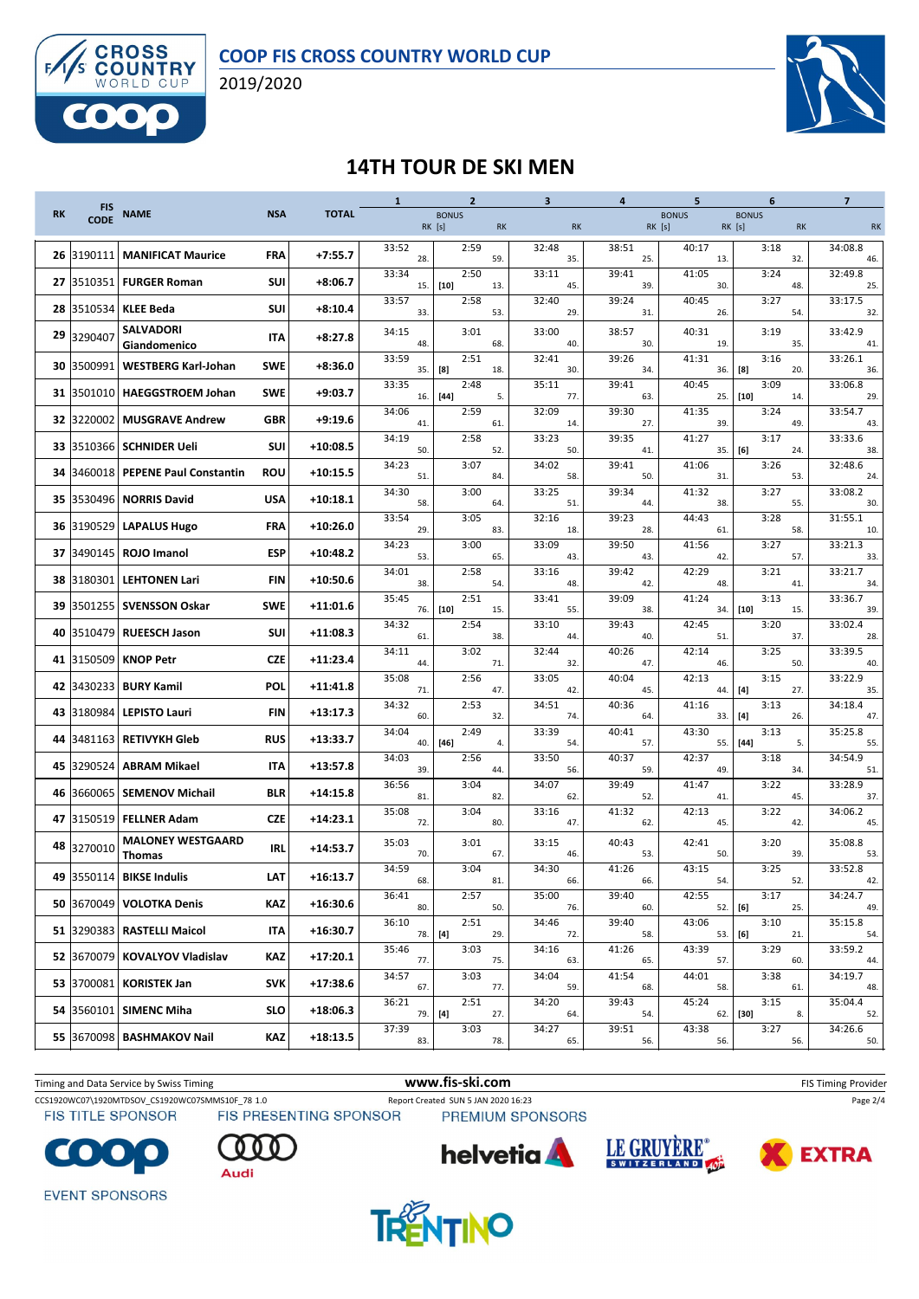

2019/2020



### **14TH TOUR DE SKI MEN**

|           | <b>FIS</b>  |                                           |            |              | $\mathbf{1}$ | $\overline{2}$         |           | $\overline{\mathbf{3}}$ | 4            | 5                      | 6                                   | $\overline{7}$ |
|-----------|-------------|-------------------------------------------|------------|--------------|--------------|------------------------|-----------|-------------------------|--------------|------------------------|-------------------------------------|----------------|
| <b>RK</b> | <b>CODE</b> | <b>NAME</b>                               | <b>NSA</b> | <b>TOTAL</b> |              | <b>BONUS</b><br>RK [s] | <b>RK</b> | <b>RK</b>               |              | <b>BONUS</b><br>RK [s] | <b>BONUS</b><br>RK [s]<br><b>RK</b> | <b>RK</b>      |
| 26        | 3190111     | <b>MANIFICAT Maurice</b>                  | <b>FRA</b> | $+7:55.7$    | 33:52<br>28. | 2:59                   | 59.       | 32:48<br>35.            | 38:51<br>25. | 40:17<br>13.           | 3:18<br>32.                         | 34:08.8<br>46. |
| 27        | 3510351     | <b>FURGER Roman</b>                       | <b>SUI</b> | $+8:06.7$    | 33:34<br>15. | 2:50<br>$[10]$         | 13.       | 33:11<br>45.            | 39:41<br>39. | 41:05<br>30.           | 3:24<br>48.                         | 32:49.8<br>25. |
| 28        | 3510534     | <b>KLEE Beda</b>                          | <b>SUI</b> | $+8:10.4$    | 33:57<br>33. | 2:58                   | 53.       | 32:40<br>29.            | 39:24<br>31. | 40:45<br>26.           | 3:27<br>54.                         | 33:17.5<br>32. |
| 29        | 3290407     | <b>SALVADORI</b><br>Giandomenico          | <b>ITA</b> | $+8:27.8$    | 34:15<br>48. | 3:01                   | 68.       | 33:00<br>40.            | 38:57<br>30. | 40:31<br>19.           | 3:19<br>35.                         | 33:42.9<br>41  |
| 30        | 3500991     | <b>WESTBERG Karl-Johan</b>                | <b>SWE</b> | $+8:36.0$    | 33:59<br>35. | 2:51<br>[8]            | 18.       | 32:41<br>30.            | 39:26<br>34. | 41:31<br>36.           | 3:16<br>[8]<br>20.                  | 33:26.1<br>36. |
| 31        | 3501010     | <b>HAEGGSTROEM Johan</b>                  | <b>SWE</b> | $+9:03.7$    | 33:35<br>16. | 2:48<br>$[44]$         | 5.        | 35:11<br>77.            | 39:41<br>63. | 40:45<br>25.           | 3:09<br>$[10]$<br>14.               | 33:06.8<br>29. |
| 32        | 3220002     | <b>MUSGRAVE Andrew</b>                    | <b>GBR</b> | $+9:19.6$    | 34:06<br>41. | 2:59                   | 61.       | 32:09<br>14.            | 39:30<br>27. | 41:35<br>39.           | 3:24<br>49.                         | 33:54.7<br>43. |
| 33        | 3510366     | <b>SCHNIDER Ueli</b>                      | <b>SUI</b> | $+10:08.5$   | 34:19<br>50. | 2:58                   | 52.       | 33:23<br>50.            | 39:35<br>41. | 41:27<br>35.           | 3:17<br>[6]<br>24.                  | 33:33.6<br>38. |
| 34        | 3460018     | <b>PEPENE Paul Constantin</b>             | <b>ROU</b> | $+10:15.5$   | 34:23<br>51. | 3:07                   | 84.       | 34:02<br>58.            | 39:41<br>50. | 41:06<br>31.           | 3:26<br>53.                         | 32:48.6<br>24. |
| 35        | 3530496     | <b>NORRIS David</b>                       | <b>USA</b> | $+10:18.1$   | 34:30<br>58. | 3:00                   | 64.       | 33:25<br>51.            | 39:34<br>44. | 41:32<br>38.           | 3:27<br>55.                         | 33:08.2<br>30. |
| 36        | 3190529     | <b>LAPALUS Hugo</b>                       | FRA        | $+10:26.0$   | 33:54<br>29. | 3:05                   | 83.       | 32:16<br>18.            | 39:23<br>28. | 44:43<br>61            | 3:28<br>58.                         | 31:55.1<br>10. |
| 37        | 3490145     | <b>ROJO Imanol</b>                        | <b>ESP</b> | $+10:48.2$   | 34:23<br>53. | 3:00                   | 65.       | 33:09<br>43.            | 39:50<br>43. | 41:56<br>42.           | 3:27<br>57.                         | 33:21.3<br>33. |
| 38        | 3180301     | <b>LEHTONEN Lari</b>                      | <b>FIN</b> | $+10:50.6$   | 34:01<br>38. | 2:58                   | 54.       | 33:16<br>48.            | 39:42<br>42. | 42:29<br>48.           | 3:21<br>41.                         | 33:21.7<br>34. |
| 39        | 3501255     | <b>SVENSSON Oskar</b>                     | SWE        | $+11:01.6$   | 35:45<br>76. | 2:51<br>$[10]$         | 15.       | 33:41<br>55.            | 39:09<br>38. | 41:24<br>34.           | 3:13<br>$[10]$<br>15.               | 33:36.7<br>39. |
| 40        | 3510479     | <b>RUEESCH Jason</b>                      | <b>SUI</b> | $+11:08.3$   | 34:32<br>61  | 2:54                   | 38.       | 33:10<br>44.            | 39:43<br>40. | 42:45<br>51.           | 3:20<br>37.                         | 33:02.4<br>28. |
| 41        | 3150509     | <b>KNOP Petr</b>                          | <b>CZE</b> | $+11:23.4$   | 34:11<br>44  | 3:02                   | 71.       | 32:44<br>32.            | 40:26<br>47. | 42:14<br>46.           | 3:25<br>50.                         | 33:39.5<br>40. |
| 42        | 3430233     | <b>BURY Kamil</b>                         | POL        | $+11:41.8$   | 35:08<br>71. | 2:56                   | 47.       | 33:05<br>42.            | 40:04<br>45. | 42:13<br>44.           | 3:15<br>$[4]$<br>27.                | 33:22.9<br>35. |
| 43        | 3180984     | <b>LEPISTO Lauri</b>                      | <b>FIN</b> | $+13:17.3$   | 34:32<br>60. | 2:53                   | 32.       | 34:51<br>74.            | 40:36<br>64. | 41:16<br>33.           | 3:13<br>[4]<br>26.                  | 34:18.4<br>47. |
| 44        | 3481163     | <b>RETIVYKH Gleb</b>                      | <b>RUS</b> | $+13:33.7$   | 34:04<br>40. | 2:49<br>$[46]$         | 4.        | 33:39<br>54.            | 40:41<br>57. | 43:30<br>55.           | 3:13<br>$[44]$<br>5.                | 35:25.8<br>55. |
| 45        | 3290524     | <b>ABRAM Mikael</b>                       | <b>ITA</b> | $+13:57.8$   | 34:03<br>39. | 2:56                   | 44.       | 33:50<br>56.            | 40:37<br>59. | 42:37<br>49            | 3:18<br>34.                         | 34:54.9<br>51. |
| 46        | 3660065     | <b>SEMENOV Michail</b>                    | <b>BLR</b> | $+14:15.8$   | 36:56<br>81. | 3:04                   | 82.       | 34:07<br>62.            | 39:49<br>52. | 41:47<br>41.           | 3:22<br>45.                         | 33:28.9<br>37. |
| 47        | 3150519     | <b>FELLNER Adam</b>                       | <b>CZE</b> | $+14:23.1$   | 35:08<br>72. | 3:04                   | 80.       | 33:16<br>47.            | 41:32<br>62. | 42:13<br>45.           | 3:22<br>42.                         | 34:06.2<br>45. |
| 48        | 3270010     | <b>MALONEY WESTGAARD</b><br><b>Thomas</b> | <b>IRL</b> | $+14:53.7$   | 35:03<br>70. | 3:01                   | 67.       | 33:15<br>46.            | 40:43<br>53. | 42:41<br>50            | 3:20<br>39.                         | 35:08.8<br>53. |
| 49        |             | 3550114 BIKSE Indulis                     | LAT        | $+16:13.7$   | 34:59<br>68. | 3:04                   | 81.       | 34:30<br>66.            | 41:26<br>66. | 43:15<br>54.           | 3:25<br>52.                         | 33:52.8<br>42. |
|           | 50 3670049  | <b>VOLOTKA Denis</b>                      | KAZ        | $+16:30.6$   | 36:41<br>80. | 2:57                   | 50.       | 35:00<br>76.            | 39:40<br>60. | 42:55                  | 3:17<br>52. [6]<br>25.              | 34:24.7<br>49. |
|           |             | 51 3290383 RASTELLI Maicol                | IΤΑ        | $+16:30.7$   | 36:10<br>78. | 2:51<br>$[4]$          | 29.       | 34:46<br>72.            | 39:40<br>58. | 43:06                  | 3:10<br>53. [6]<br>21.              | 35:15.8<br>54. |
|           | 52 3670079  | <b>KOVALYOV Vladislav</b>                 | KAZ        | $+17:20.1$   | 35:46<br>77. | 3:03                   | 75.       | 34:16<br>63.            | 41:26<br>65. | 43:39<br>57.           | 3:29<br>60.                         | 33:59.2<br>44. |
|           | 53 3700081  | <b>KORISTEK Jan</b>                       | <b>SVK</b> | $+17:38.6$   | 34:57<br>67. | 3:03                   | 77.       | 34:04<br>59.            | 41:54<br>68. | 44:01<br>58.           | 3:38<br>61.                         | 34:19.7<br>48. |
|           | 54 3560101  | <b>SIMENC Miha</b>                        | <b>SLO</b> | $+18:06.3$   | 36:21<br>79. | 2:51<br>[4]            | 27.       | 34:20<br>64.            | 39:43<br>54. | 45:24<br>62.           | 3:15<br>$[30]$<br>8.                | 35:04.4<br>52. |
|           |             | 55 3670098 BASHMAKOV Nail                 | KAZ        | $+18:13.5$   | 37:39<br>83. | 3:03                   | 78.       | 34:27<br>65.            | 39:51<br>56. | 43:38<br>56.           | 3:27<br>56.                         | 34:26.6<br>50. |
|           |             |                                           |            |              |              |                        |           |                         |              |                        |                                     |                |



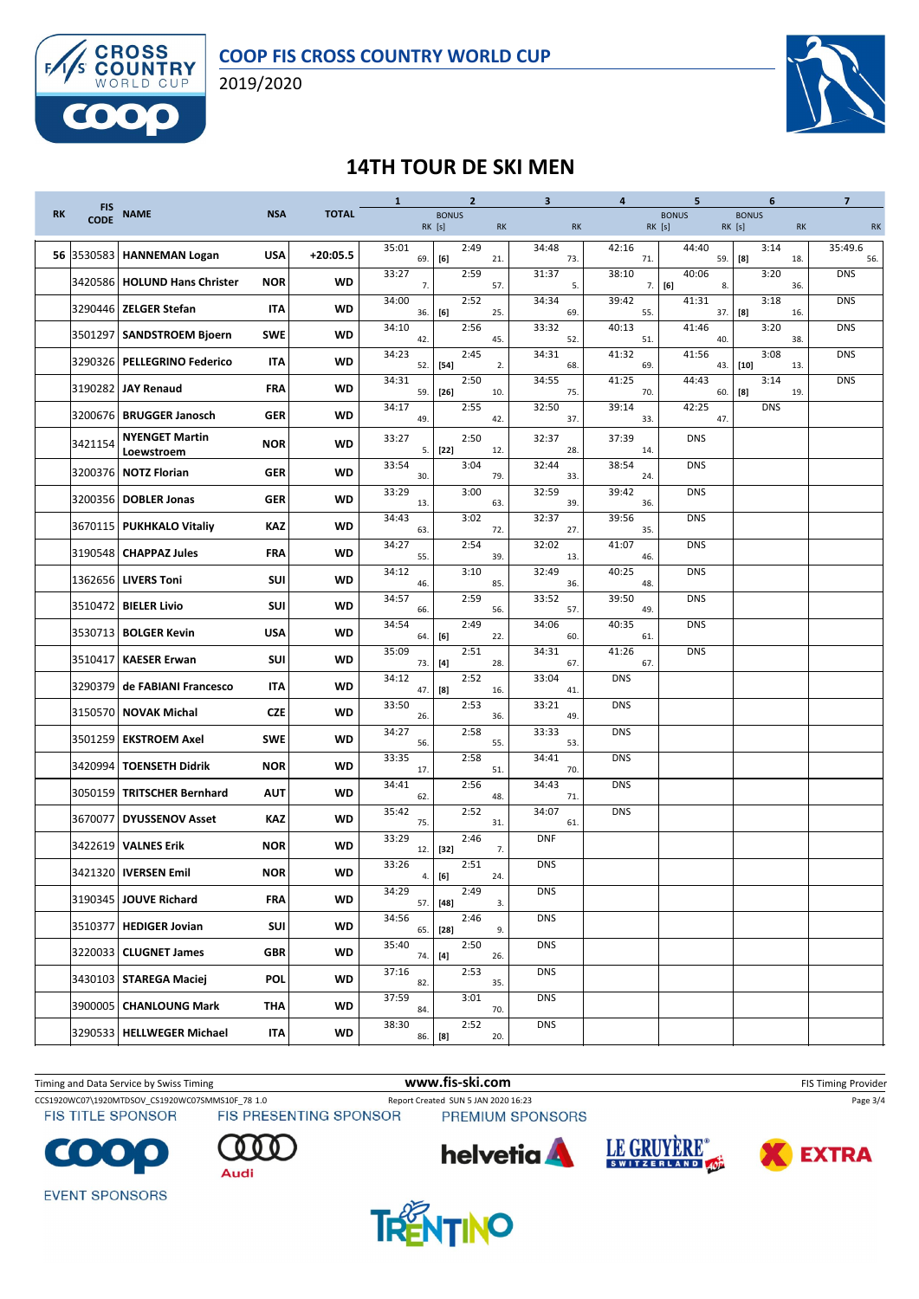

2019/2020



#### **14TH TOUR DE SKI MEN**

|           | <b>FIS</b>  |                                      |            |              | $\mathbf{1}$ | $\mathbf{2}$           |           | 3            | 4            | 5                                                                                                                                                                                                                   | 6                            | $\overline{7}$ |
|-----------|-------------|--------------------------------------|------------|--------------|--------------|------------------------|-----------|--------------|--------------|---------------------------------------------------------------------------------------------------------------------------------------------------------------------------------------------------------------------|------------------------------|----------------|
| <b>RK</b> | <b>CODE</b> | <b>NAME</b>                          | <b>NSA</b> | <b>TOTAL</b> |              | <b>BONUS</b><br>RK [s] | <b>RK</b> | RK           |              | <b>BONUS</b><br>RK [s]                                                                                                                                                                                              | <b>BONUS</b><br>RK [s]<br>RK | <b>RK</b>      |
| 56        | 3530583     | <b>HANNEMAN Logan</b>                | <b>USA</b> | $+20:05.5$   | 35:01<br>69. | 2:49<br>[6]            | 21.       | 34:48<br>73. | 42:16<br>71. | 44:40<br>59.                                                                                                                                                                                                        | 3:14<br>[8]<br>18.           | 35:49.6<br>56. |
|           |             | 3420586   HOLUND Hans Christer       | <b>NOR</b> | WD           | 33:27<br>7.  | 2:59                   | 57.       | 31:37<br>5.  | 38:10<br>7.  | 40:06<br>$[6] % \includegraphics[width=0.9\columnwidth]{figures/fig_00.pdf} \caption{The 1000 of the estimators in the left and right. The left is the same time, the right is the same time.} \label{fig:2}$<br>8. | 3:20<br>36.                  | <b>DNS</b>     |
|           |             | 3290446   ZELGER Stefan              | IΤΑ        | WD           | 34:00<br>36. | 2:52<br>[6]            | 25.       | 34:34<br>69. | 39:42<br>55. | 41:31<br>37.                                                                                                                                                                                                        | 3:18<br>$^{[8]}$<br>16.      | <b>DNS</b>     |
|           | 3501297     | <b>SANDSTROEM Bjoern</b>             | <b>SWE</b> | WD           | 34:10<br>42. | 2:56                   | 45.       | 33:32<br>52. | 40:13<br>51. | 41:46<br>40.                                                                                                                                                                                                        | 3:20<br>38.                  | <b>DNS</b>     |
|           |             | 3290326 PELLEGRINO Federico          | <b>ITA</b> | WD           | 34:23<br>52. | 2:45<br>$[54]$         | 2.        | 34:31<br>68. | 41:32<br>69. | 41:56<br>43.                                                                                                                                                                                                        | 3:08<br>$[10]$<br>13.        | <b>DNS</b>     |
|           |             | 3190282 JAY Renaud                   | FRA        | <b>WD</b>    | 34:31<br>59. | 2:50<br>$[26]$         | 10.       | 34:55<br>75. | 41:25<br>70. | 44:43<br>60.                                                                                                                                                                                                        | 3:14<br>[8]<br>19.           | <b>DNS</b>     |
|           |             | 3200676   BRUGGER Janosch            | <b>GER</b> | WD           | 34:17<br>49. | 2:55                   | 42.       | 32:50<br>37  | 39:14<br>33. | 42:25<br>47.                                                                                                                                                                                                        | <b>DNS</b>                   |                |
|           | 3421154     | <b>NYENGET Martin</b>                | <b>NOR</b> | <b>WD</b>    | 33:27<br>5.  | 2:50<br>$[22]$         | 12.       | 32:37<br>28. | 37:39<br>14. | <b>DNS</b>                                                                                                                                                                                                          |                              |                |
|           |             | Loewstroem<br>3200376   NOTZ Florian | <b>GER</b> | <b>WD</b>    | 33:54<br>30. | 3:04                   | 79.       | 32:44<br>33. | 38:54<br>24. | <b>DNS</b>                                                                                                                                                                                                          |                              |                |
|           |             | 3200356   DOBLER Jonas               | <b>GER</b> | <b>WD</b>    | 33:29<br>13. | 3:00                   | 63.       | 32:59<br>39. | 39:42<br>36. | <b>DNS</b>                                                                                                                                                                                                          |                              |                |
|           |             | 3670115   PUKHKALO Vitaliy           | KAZ        | WD           | 34:43<br>63. | 3:02                   | 72.       | 32:37<br>27. | 39:56<br>35. | <b>DNS</b>                                                                                                                                                                                                          |                              |                |
|           |             | 3190548 CHAPPAZ Jules                | <b>FRA</b> | <b>WD</b>    | 34:27<br>55. | 2:54                   | 39.       | 32:02<br>13. | 41:07<br>46. | <b>DNS</b>                                                                                                                                                                                                          |                              |                |
|           |             | 1362656 LIVERS Toni                  | <b>SUI</b> | WD           | 34:12<br>46. | 3:10                   | 85.       | 32:49<br>36. | 40:25<br>48. | <b>DNS</b>                                                                                                                                                                                                          |                              |                |
|           | 3510472     | <b>BIELER Livio</b>                  | SUI        | WD           | 34:57<br>66. | 2:59                   | 56.       | 33:52<br>57. | 39:50<br>49. | <b>DNS</b>                                                                                                                                                                                                          |                              |                |
|           |             | 3530713   BOLGER Kevin               | <b>USA</b> | WD           | 34:54<br>64. | 2:49<br>[6]            | 22.       | 34:06<br>60. | 40:35<br>61. | <b>DNS</b>                                                                                                                                                                                                          |                              |                |
|           | 3510417     | <b>KAESER Erwan</b>                  | SUI        | <b>WD</b>    | 35:09<br>73. | 2:51<br>$[4]$          | 28.       | 34:31<br>67. | 41:26<br>67. | <b>DNS</b>                                                                                                                                                                                                          |                              |                |
|           | 3290379     | de FABIANI Francesco                 | IΤΑ        | WD           | 34:12<br>47. | 2:52<br>[8]            | 16.       | 33:04<br>41. | <b>DNS</b>   |                                                                                                                                                                                                                     |                              |                |
|           |             | 3150570   NOVAK Michal               | <b>CZE</b> | <b>WD</b>    | 33:50<br>26. | 2:53                   | 36.       | 33:21<br>49. | <b>DNS</b>   |                                                                                                                                                                                                                     |                              |                |
|           |             | 3501259 EKSTROEM Axel                | <b>SWE</b> | <b>WD</b>    | 34:27<br>56. | 2:58                   | 55.       | 33:33<br>53. | <b>DNS</b>   |                                                                                                                                                                                                                     |                              |                |
|           |             | 3420994 TOENSETH Didrik              | <b>NOR</b> | <b>WD</b>    | 33:35<br>17. | 2:58                   | 51.       | 34:41<br>70. | <b>DNS</b>   |                                                                                                                                                                                                                     |                              |                |
|           |             | 3050159   TRITSCHER Bernhard         | <b>AUT</b> | WD           | 34:41<br>62. | 2:56                   | 48.       | 34:43<br>71. | <b>DNS</b>   |                                                                                                                                                                                                                     |                              |                |
|           | 3670077     | <b>DYUSSENOV Asset</b>               | KAZ        | WD           | 35:42<br>75. | 2:52                   | 31.       | 34:07<br>61. | <b>DNS</b>   |                                                                                                                                                                                                                     |                              |                |
|           | 3422619     | <b>VALNES Erik</b>                   | <b>NOR</b> | WD           | 33:29<br>12. | 2:46<br>$[32]$         | 7.        | <b>DNF</b>   |              |                                                                                                                                                                                                                     |                              |                |
|           |             | 3421320   IVERSEN Emil               | <b>NOR</b> | WD           | 33:26<br>4.  | 2:51<br>[6]            | 24.       | <b>DNS</b>   |              |                                                                                                                                                                                                                     |                              |                |
|           |             | 3190345 JOUVE Richard                | <b>FRA</b> | WD           | 34:29<br>57. | 2:49<br>$[48]$         | 3.        | <b>DNS</b>   |              |                                                                                                                                                                                                                     |                              |                |
|           |             | 3510377 HEDIGER Jovian               | SUI        | WD           | 34:56<br>65. | 2:46<br>$[28]$         | 9.        | <b>DNS</b>   |              |                                                                                                                                                                                                                     |                              |                |
|           |             | 3220033 CLUGNET James                | GBR        | WD           | 35:40<br>74. | 2:50<br>$[4]$          | 26.       | <b>DNS</b>   |              |                                                                                                                                                                                                                     |                              |                |
|           |             | 3430103 STAREGA Maciej               | <b>POL</b> | WD           | 37:16<br>82. | 2:53                   | 35.       | <b>DNS</b>   |              |                                                                                                                                                                                                                     |                              |                |
|           |             | 3900005   CHANLOUNG Mark             | ΤΗΑ        | WD           | 37:59<br>84. | 3:01                   | 70.       | <b>DNS</b>   |              |                                                                                                                                                                                                                     |                              |                |
|           |             | 3290533   HELLWEGER Michael          | <b>ITA</b> | WD           | 38:30        | 2:52<br>86. [8]        | 20.       | <b>DNS</b>   |              |                                                                                                                                                                                                                     |                              |                |